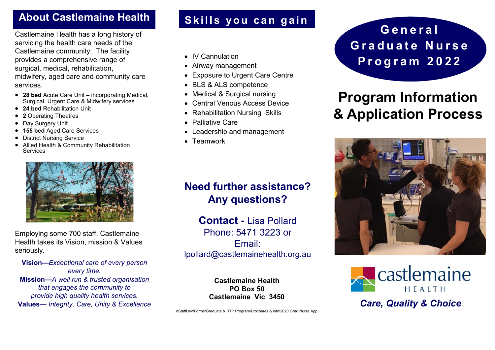#### **About Castlemaine Health**

Castlemaine Health has a long history of servicing the health care needs of the Castlemaine community. The facility provides a comprehensive range of surgical, medical, rehabilitation, midwifery, aged care and community care services.

- **28 bed** Acute Care Unit incorporating Medical, Surgical, Urgent Care & Midwifery services
- **24 bed** Rehabilitation Unit
- **2** Operating Theatres
- **Day Surgery Unit**
- **155 bed** Aged Care Services
- District Nursing Service
- Allied Health & Community Rehabilitation Services



Employing some 700 staff, Castlemaine Health takes its Vision, mission & Values seriously.

**Vision—***Exceptional care of every person every time.* **Mission—***A well run & trusted organisation that engages the community to provide high quality health services.*  **Values—** *Integrity, Care, Unity & Excellence*

### Skills you can gain

- IV Cannulation
- Airway management
- Exposure to Urgent Care Centre
- BLS & ALS competence
- Medical & Surgical nursing
- Central Venous Access Device
- Rehabilitation Nursing Skills
- Palliative Care
- Leadership and management
- Teamwork

## **Need further assistance? Any questions?**

**Contact -** Lisa Pollard Phone: 5471 3223 or Email: lpollard@castlemainehealth.org.au

> **Castlemaine Health PO Box 50 Castlemaine Vic 3450**

nStaffDev/Forms/Graduate & RTP Program\Brochures & info\2020 Grad Nurse App

**G e n e r a l** Graduate Nurse **P r o g r a m 2 0 2 2**

# **Program Information & Application Process**





*Care, Quality & Choice*